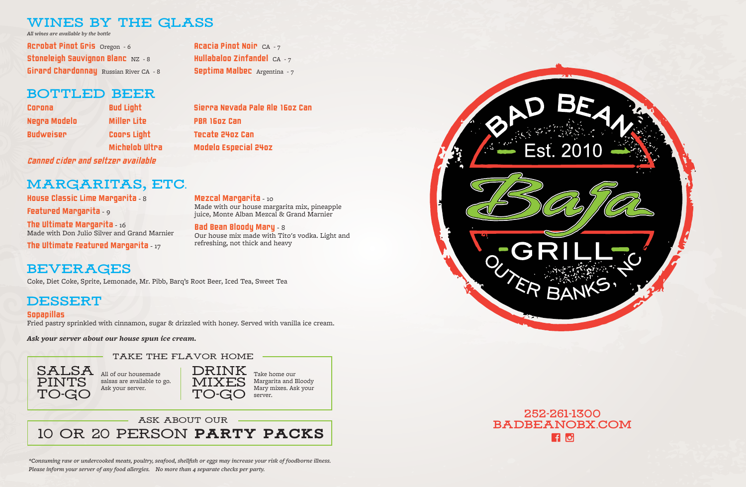Septima Malbec Argentina - 7

### **wines by the glass**

*All wines are available by the bottle*

Acrobat Pinot Gris Oregon - 6 Stoneleigh Sauvignon Blanc NZ - 8 **Girard Chardonnay** Russian River CA - 8



Corona Negra Modelo Budweiser

The Ultimate Margarita -  $16$ Made with Don Julio Silver and Grand Marnier

The Ultimate Featured Margarita - 17

Bud Light Miller Lite Coors Light Michelob Ultra

Sierra Nevada Pale Ale 16oz Can

PBR 16oz Can

Tecate 24oz Can

Modelo Especial 24oz

Hullabaloo Zinfandel  $CA - 7$ 

### **bottled beer**

House Classic Lime Margarita - 8

Featured Margarita - 9

Mezcal Margarita - 10

**Acacia Pinot Noir**  $CA - 7$ 

### **252-261-1300 badbeanobx.com HO**

Made with our house margarita mix, pineapple juice, Monte Alban Mezcal & Grand Marnier

#### Bad Bean Bloody Mary - 8

Our house mix made with Tito's vodka. Light and refreshing, not thick and heavy

Coke, Diet Coke, Sprite, Lemonade, Mr. Pibb, Barq's Root Beer, Iced Tea, Sweet Tea

#### Sopapillas

Fried pastry sprinkled with cinnamon, sugar & drizzled with honey. Served with vanilla ice cream.

*Ask your server about our house spun ice cream.* 

#### TAKE THE FLAVOR HOME

# **margaritas, etc.**

## **beverages**

### **DESSERT**

*\*Consuming raw or undercooked meats, poultry, seafood, shellfish or eggs may increase your risk of foodborne illness. Please inform your server of any food allergies. No more than 4 separate checks per party.*





All of our housemade salsas are available to go. Ask your server.



Take home our Margarita and Bloody Mary mixes. Ask your server.

#### ask about our

10 or 20 person party packs

*Canned cider and seltzer available*